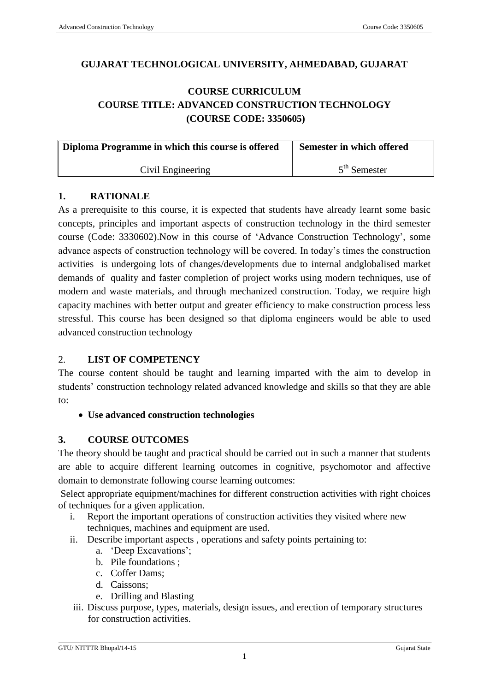## **GUJARAT TECHNOLOGICAL UNIVERSITY, AHMEDABAD, GUJARAT**

# **COURSE CURRICULUM COURSE TITLE: ADVANCED CONSTRUCTION TECHNOLOGY (COURSE CODE: 3350605)**

| Diploma Programme in which this course is offered | Semester in which offered |  |
|---------------------------------------------------|---------------------------|--|
| Civil Engineering                                 | $5th$ Semester            |  |

#### **1. RATIONALE**

As a prerequisite to this course, it is expected that students have already learnt some basic concepts, principles and important aspects of construction technology in the third semester course (Code: 3330602).Now in this course of 'Advance Construction Technology', some advance aspects of construction technology will be covered. In today's times the construction activities is undergoing lots of changes/developments due to internal andglobalised market demands of quality and faster completion of project works using modern techniques, use of modern and waste materials, and through mechanized construction. Today, we require high capacity machines with better output and greater efficiency to make construction process less stressful. This course has been designed so that diploma engineers would be able to used advanced construction technology

## 2. **LIST OF COMPETENCY**

The course content should be taught and learning imparted with the aim to develop in students' construction technology related advanced knowledge and skills so that they are able to:

**Use advanced construction technologies** 

## **3. COURSE OUTCOMES**

The theory should be taught and practical should be carried out in such a manner that students are able to acquire different learning outcomes in cognitive, psychomotor and affective domain to demonstrate following course learning outcomes:

Select appropriate equipment/machines for different construction activities with right choices of techniques for a given application.

- i. Report the important operations of construction activities they visited where new techniques, machines and equipment are used.
- ii. Describe important aspects , operations and safety points pertaining to:
	- a. 'Deep Excavations';
	- b. Pile foundations ;
	- c. Coffer Dams;
	- d. Caissons;
	- e. Drilling and Blasting
- iii. Discuss purpose, types, materials, design issues, and erection of temporary structures for construction activities.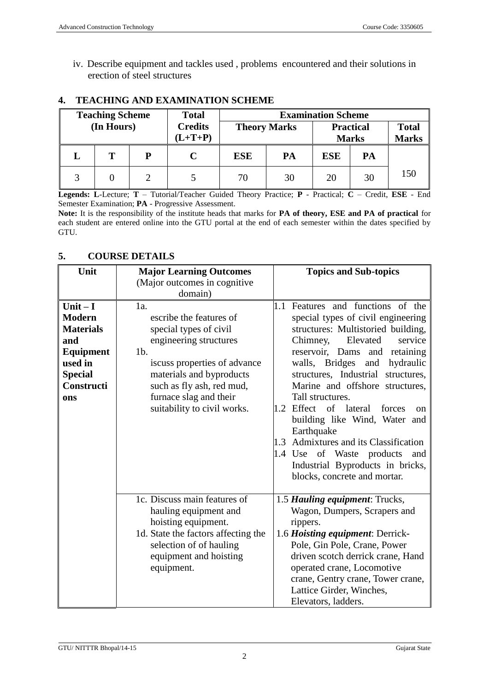iv. Describe equipment and tackles used , problems encountered and their solutions in erection of steel structures

|            | <b>Teaching Scheme</b> |                             | <b>Total</b>        |            |    | <b>Examination Scheme</b> |    |     |  |                                  |                              |
|------------|------------------------|-----------------------------|---------------------|------------|----|---------------------------|----|-----|--|----------------------------------|------------------------------|
| (In Hours) |                        | <b>Credits</b><br>$(L+T+P)$ | <b>Theory Marks</b> |            |    |                           |    |     |  | <b>Practical</b><br><b>Marks</b> | <b>Total</b><br><b>Marks</b> |
|            | т                      | Р                           |                     | <b>ESE</b> | PA | <b>ESE</b>                | PA |     |  |                                  |                              |
|            |                        |                             |                     | 70         | 30 | 20                        | 30 | 150 |  |                                  |                              |

#### **4. TEACHING AND EXAMINATION SCHEME**

**Legends: L**-Lecture; **T** – Tutorial/Teacher Guided Theory Practice; **P** - Practical; **C** – Credit, **ESE** - End Semester Examination; **PA** - Progressive Assessment.

**Note:** It is the responsibility of the institute heads that marks for **PA of theory, ESE and PA of practical** for each student are entered online into the GTU portal at the end of each semester within the dates specified by GTU.

#### **5. COURSE DETAILS**

| Unit             | <b>Major Learning Outcomes</b>      | <b>Topics and Sub-topics</b>                     |
|------------------|-------------------------------------|--------------------------------------------------|
|                  | (Major outcomes in cognitive        |                                                  |
|                  | domain)                             |                                                  |
| Unit $-I$        | 1a.                                 | Features and functions of the<br>1.1             |
| <b>Modern</b>    | escribe the features of             | special types of civil engineering               |
| <b>Materials</b> | special types of civil              | structures: Multistoried building,               |
| and              | engineering structures              | Chimney,<br>Elevated<br>service                  |
| Equipment        | $1b$ .                              | reservoir, Dams and<br>retaining                 |
| used in          | iscuss properties of advance        | walls, Bridges<br>hydraulic<br>and               |
| <b>Special</b>   | materials and byproducts            | structures, Industrial<br>structures,            |
| Constructi       | such as fly ash, red mud,           | Marine and offshore structures,                  |
| ons              | furnace slag and their              | Tall structures.                                 |
|                  | suitability to civil works.         | 1.2 Effect of lateral<br>forces<br><sub>on</sub> |
|                  |                                     | building like Wind, Water and                    |
|                  |                                     | Earthquake                                       |
|                  |                                     | 1.3 Admixtures and its Classification            |
|                  |                                     | 1.4 Use of Waste products<br>and                 |
|                  |                                     | Industrial Byproducts in bricks,                 |
|                  |                                     | blocks, concrete and mortar.                     |
|                  | 1c. Discuss main features of        | 1.5 Hauling equipment: Trucks,                   |
|                  | hauling equipment and               | Wagon, Dumpers, Scrapers and                     |
|                  | hoisting equipment.                 | rippers.                                         |
|                  | 1d. State the factors affecting the | 1.6 Hoisting equipment: Derrick-                 |
|                  | selection of of hauling             | Pole, Gin Pole, Crane, Power                     |
|                  | equipment and hoisting              | driven scotch derrick crane, Hand                |
|                  | equipment.                          | operated crane, Locomotive                       |
|                  |                                     | crane, Gentry crane, Tower crane,                |
|                  |                                     | Lattice Girder, Winches,                         |
|                  |                                     | Elevators, ladders.                              |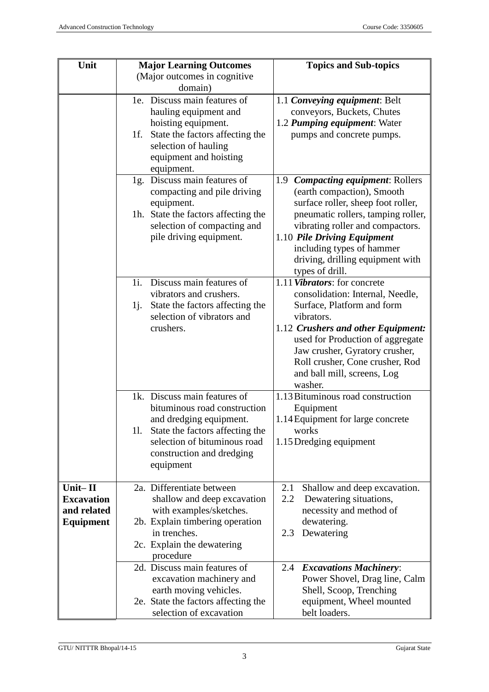| Unit                                                                | <b>Major Learning Outcomes</b>                                                                                                                                                                              | <b>Topics and Sub-topics</b>                                                                                                                                                                                                                                                                          |  |
|---------------------------------------------------------------------|-------------------------------------------------------------------------------------------------------------------------------------------------------------------------------------------------------------|-------------------------------------------------------------------------------------------------------------------------------------------------------------------------------------------------------------------------------------------------------------------------------------------------------|--|
|                                                                     | (Major outcomes in cognitive)<br>domain)                                                                                                                                                                    |                                                                                                                                                                                                                                                                                                       |  |
|                                                                     | 1e. Discuss main features of<br>hauling equipment and<br>hoisting equipment.<br>1f.<br>State the factors affecting the<br>selection of hauling                                                              | 1.1 Conveying equipment: Belt<br>conveyors, Buckets, Chutes<br>1.2 Pumping equipment: Water<br>pumps and concrete pumps.                                                                                                                                                                              |  |
|                                                                     | equipment and hoisting<br>equipment.                                                                                                                                                                        |                                                                                                                                                                                                                                                                                                       |  |
|                                                                     | 1g. Discuss main features of<br>compacting and pile driving<br>equipment.                                                                                                                                   | 1.9 Compacting equipment: Rollers<br>(earth compaction), Smooth<br>surface roller, sheep foot roller,                                                                                                                                                                                                 |  |
|                                                                     | 1h. State the factors affecting the<br>selection of compacting and<br>pile driving equipment.                                                                                                               | pneumatic rollers, tamping roller,<br>vibrating roller and compactors.<br>1.10 Pile Driving Equipment<br>including types of hammer<br>driving, drilling equipment with<br>types of drill.                                                                                                             |  |
|                                                                     | Discuss main features of<br>1i.<br>vibrators and crushers.<br>State the factors affecting the<br>1j.<br>selection of vibrators and<br>crushers.                                                             | 1.11 Vibrators: for concrete<br>consolidation: Internal, Needle,<br>Surface, Platform and form<br>vibrators.<br>1.12 Crushers and other Equipment:<br>used for Production of aggregate<br>Jaw crusher, Gyratory crusher,<br>Roll crusher, Cone crusher, Rod<br>and ball mill, screens, Log<br>washer. |  |
|                                                                     | 1k. Discuss main features of<br>bituminous road construction<br>and dredging equipment.<br>State the factors affecting the<br>11.<br>selection of bituminous road<br>construction and dredging<br>equipment | 1.13 Bituminous road construction<br>Equipment<br>1.14 Equipment for large concrete<br>works<br>1.15 Dredging equipment                                                                                                                                                                               |  |
| $Unit - II$<br><b>Excavation</b><br>and related<br><b>Equipment</b> | 2a. Differentiate between<br>shallow and deep excavation<br>with examples/sketches.<br>2b. Explain timbering operation<br>in trenches.<br>2c. Explain the dewatering<br>procedure                           | 2.1<br>Shallow and deep excavation.<br>Dewatering situations,<br>2.2<br>necessity and method of<br>dewatering.<br>Dewatering<br>2.3                                                                                                                                                                   |  |
|                                                                     | 2d. Discuss main features of<br>excavation machinery and<br>earth moving vehicles.<br>2e. State the factors affecting the<br>selection of excavation                                                        | <b>Excavations Machinery:</b><br>2.4<br>Power Shovel, Drag line, Calm<br>Shell, Scoop, Trenching<br>equipment, Wheel mounted<br>belt loaders.                                                                                                                                                         |  |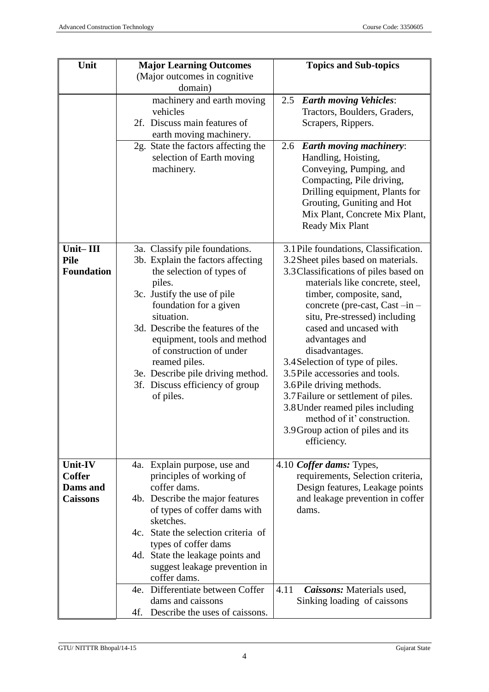| Unit                     | <b>Major Learning Outcomes</b>                           | <b>Topics and Sub-topics</b>                                  |  |  |
|--------------------------|----------------------------------------------------------|---------------------------------------------------------------|--|--|
|                          | (Major outcomes in cognitive)                            |                                                               |  |  |
|                          | domain)                                                  |                                                               |  |  |
|                          | machinery and earth moving                               | <b>Earth moving Vehicles:</b><br>2.5                          |  |  |
|                          | vehicles                                                 | Tractors, Boulders, Graders,                                  |  |  |
|                          | 2f. Discuss main features of                             | Scrapers, Rippers.                                            |  |  |
|                          | earth moving machinery.                                  |                                                               |  |  |
|                          | 2g. State the factors affecting the                      | 2.6 Earth moving machinery:                                   |  |  |
|                          | selection of Earth moving                                | Handling, Hoisting,                                           |  |  |
|                          | machinery.                                               | Conveying, Pumping, and                                       |  |  |
|                          |                                                          | Compacting, Pile driving,                                     |  |  |
|                          |                                                          | Drilling equipment, Plants for                                |  |  |
|                          |                                                          | Grouting, Guniting and Hot                                    |  |  |
|                          |                                                          | Mix Plant, Concrete Mix Plant,                                |  |  |
|                          |                                                          | Ready Mix Plant                                               |  |  |
| Unit-III                 | 3a. Classify pile foundations.                           | 3.1 Pile foundations, Classification.                         |  |  |
| <b>Pile</b>              | 3b. Explain the factors affecting                        | 3.2 Sheet piles based on materials.                           |  |  |
| <b>Foundation</b>        | the selection of types of                                | 3.3 Classifications of piles based on                         |  |  |
|                          | piles.                                                   | materials like concrete, steel,                               |  |  |
|                          | 3c. Justify the use of pile                              | timber, composite, sand,                                      |  |  |
|                          | foundation for a given                                   | concrete (pre-cast, Cast -in -                                |  |  |
|                          | situation.                                               | situ, Pre-stressed) including                                 |  |  |
|                          | 3d. Describe the features of the                         | cased and uncased with                                        |  |  |
|                          | equipment, tools and method                              | advantages and                                                |  |  |
|                          | of construction of under                                 | disadvantages.                                                |  |  |
|                          | reamed piles.                                            | 3.4 Selection of type of piles.                               |  |  |
|                          | 3e. Describe pile driving method.                        | 3.5 Pile accessories and tools.                               |  |  |
|                          | 3f. Discuss efficiency of group                          | 3.6 Pile driving methods.                                     |  |  |
|                          | of piles.                                                | 3.7 Failure or settlement of piles.                           |  |  |
|                          |                                                          | 3.8 Under reamed piles including                              |  |  |
|                          |                                                          | method of it' construction.                                   |  |  |
|                          |                                                          | 3.9 Group action of piles and its                             |  |  |
|                          |                                                          | efficiency.                                                   |  |  |
|                          |                                                          |                                                               |  |  |
| Unit-IV<br><b>Coffer</b> | 4a. Explain purpose, use and<br>principles of working of | 4.10 Coffer dams: Types,<br>requirements, Selection criteria, |  |  |
| Dams and                 | coffer dams.                                             | Design features, Leakage points                               |  |  |
| <b>Caissons</b>          | 4b. Describe the major features                          | and leakage prevention in coffer                              |  |  |
|                          | of types of coffer dams with                             | dams.                                                         |  |  |
|                          | sketches.                                                |                                                               |  |  |
|                          | 4c. State the selection criteria of                      |                                                               |  |  |
|                          | types of coffer dams                                     |                                                               |  |  |
|                          | 4d. State the leakage points and                         |                                                               |  |  |
|                          | suggest leakage prevention in                            |                                                               |  |  |
|                          | coffer dams.                                             |                                                               |  |  |
|                          | 4e. Differentiate between Coffer                         | Caissons: Materials used,<br>4.11                             |  |  |
|                          | dams and caissons                                        | Sinking loading of caissons                                   |  |  |
|                          | Describe the uses of caissons.<br>4f.                    |                                                               |  |  |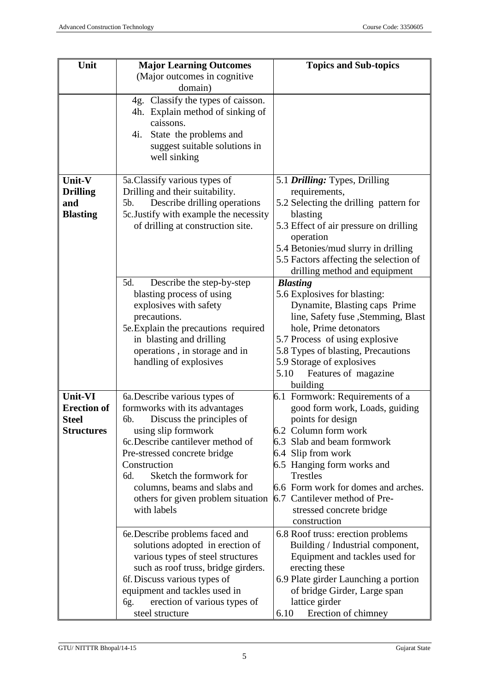| Unit               | <b>Major Learning Outcomes</b>                                              | <b>Topics and Sub-topics</b>                                    |
|--------------------|-----------------------------------------------------------------------------|-----------------------------------------------------------------|
|                    | (Major outcomes in cognitive                                                |                                                                 |
|                    | domain)                                                                     |                                                                 |
|                    | 4g. Classify the types of caisson.                                          |                                                                 |
|                    | 4h. Explain method of sinking of<br>caissons.                               |                                                                 |
|                    | 4i.<br>State the problems and                                               |                                                                 |
|                    | suggest suitable solutions in                                               |                                                                 |
|                    | well sinking                                                                |                                                                 |
|                    |                                                                             |                                                                 |
| Unit-V             | 5a. Classify various types of                                               | 5.1 <i>Drilling:</i> Types, Drilling                            |
| <b>Drilling</b>    | Drilling and their suitability.                                             | requirements,                                                   |
| and                | Describe drilling operations<br>5b.                                         | 5.2 Selecting the drilling pattern for                          |
| <b>Blasting</b>    | 5c. Justify with example the necessity<br>of drilling at construction site. | blasting<br>5.3 Effect of air pressure on drilling              |
|                    |                                                                             | operation                                                       |
|                    |                                                                             | 5.4 Betonies/mud slurry in drilling                             |
|                    |                                                                             | 5.5 Factors affecting the selection of                          |
|                    |                                                                             | drilling method and equipment                                   |
|                    | 5d.<br>Describe the step-by-step                                            | <b>Blasting</b>                                                 |
|                    | blasting process of using                                                   | 5.6 Explosives for blasting:                                    |
|                    | explosives with safety                                                      | Dynamite, Blasting caps Prime                                   |
|                    | precautions.                                                                | line, Safety fuse , Stemming, Blast                             |
|                    | 5e. Explain the precautions required                                        | hole, Prime detonators                                          |
|                    | in blasting and drilling                                                    | 5.7 Process of using explosive                                  |
|                    | operations, in storage and in<br>handling of explosives                     | 5.8 Types of blasting, Precautions<br>5.9 Storage of explosives |
|                    |                                                                             | Features of magazine<br>5.10                                    |
|                    |                                                                             | building                                                        |
| Unit-VI            | 6a. Describe various types of                                               | 6.1 Formwork: Requirements of a                                 |
| <b>Erection of</b> | formworks with its advantages                                               | good form work, Loads, guiding                                  |
| <b>Steel</b>       | Discuss the principles of<br>6b.                                            | points for design                                               |
| <b>Structures</b>  | using slip formwork                                                         | 6.2 Column form work                                            |
|                    | 6c. Describe cantilever method of                                           | 6.3 Slab and beam formwork                                      |
|                    | Pre-stressed concrete bridge<br>Construction                                | 6.4 Slip from work                                              |
|                    | Sketch the formwork for<br>6d.                                              | 6.5 Hanging form works and<br><b>Trestles</b>                   |
|                    | columns, beams and slabs and                                                | 6.6 Form work for domes and arches.                             |
|                    | others for given problem situation                                          | 6.7 Cantilever method of Pre-                                   |
|                    | with labels                                                                 | stressed concrete bridge                                        |
|                    |                                                                             | construction                                                    |
|                    | 6. Describe problems faced and                                              | 6.8 Roof truss: erection problems                               |
|                    | solutions adopted in erection of                                            | Building / Industrial component,                                |
|                    | various types of steel structures                                           | Equipment and tackles used for                                  |
|                    | such as roof truss, bridge girders.                                         | erecting these                                                  |
|                    | 6f. Discuss various types of                                                | 6.9 Plate girder Launching a portion                            |
|                    | equipment and tackles used in<br>erection of various types of<br>6g.        | of bridge Girder, Large span<br>lattice girder                  |
|                    | steel structure                                                             | 6.10<br>Erection of chimney                                     |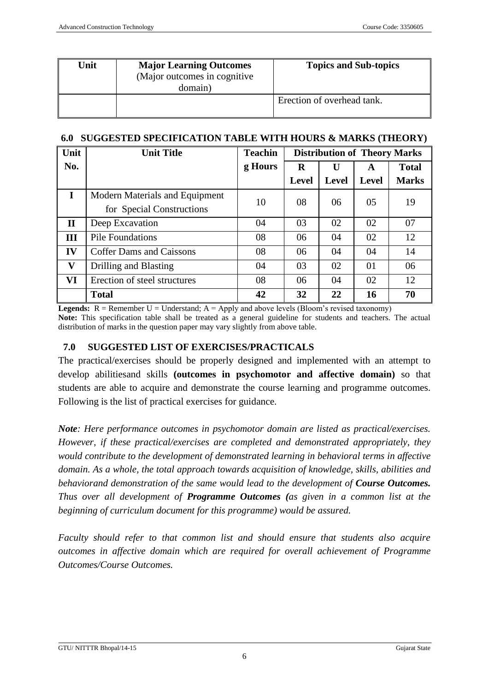| Unit | <b>Major Learning Outcomes</b><br>(Major outcomes in cognitive)<br>domain) | <b>Topics and Sub-topics</b> |
|------|----------------------------------------------------------------------------|------------------------------|
|      |                                                                            | Erection of overhead tank.   |

#### **6.0 SUGGESTED SPECIFICATION TABLE WITH HOURS & MARKS (THEORY)**

| Unit         | <b>Unit Title</b>                                           | <b>Teachin</b> | <b>Distribution of Theory Marks</b> |              |              |              |
|--------------|-------------------------------------------------------------|----------------|-------------------------------------|--------------|--------------|--------------|
| No.          |                                                             | g Hours        | R                                   | U            | A            | <b>Total</b> |
|              |                                                             |                | <b>Level</b>                        | <b>Level</b> | <b>Level</b> | <b>Marks</b> |
| $\mathbf I$  | Modern Materials and Equipment<br>for Special Constructions | 10             | 08                                  | 06           | 05           | 19           |
| $\mathbf{I}$ | Deep Excavation                                             | 04             | 03                                  | 02           | 02           | 07           |
| III          | <b>Pile Foundations</b>                                     | 08             | 06                                  | 04           | 02           | 12           |
| IV           | <b>Coffer Dams and Caissons</b>                             | 08             | 06                                  | 04           | 04           | 14           |
| V            | Drilling and Blasting                                       | 04             | 03                                  | 02           | 01           | 06           |
| VI           | Erection of steel structures                                | 08             | 06                                  | 04           | 02           | 12           |
|              | <b>Total</b>                                                | 42             | 32                                  | 22           | 16           | 70           |

**Legends:**  $R =$  Remember  $U =$  Understand;  $A =$  Apply and above levels (Bloom's revised taxonomy) **Note:** This specification table shall be treated as a general guideline for students and teachers. The actual distribution of marks in the question paper may vary slightly from above table.

## **7.0 SUGGESTED LIST OF EXERCISES/PRACTICALS**

The practical/exercises should be properly designed and implemented with an attempt to develop abilitiesand skills **(outcomes in psychomotor and affective domain)** so that students are able to acquire and demonstrate the course learning and programme outcomes. Following is the list of practical exercises for guidance.

*Note: Here performance outcomes in psychomotor domain are listed as practical/exercises. However, if these practical/exercises are completed and demonstrated appropriately, they would contribute to the development of demonstrated learning in behavioral terms in affective domain. As a whole, the total approach towards acquisition of knowledge, skills, abilities and behaviorand demonstration of the same would lead to the development of Course Outcomes. Thus over all development of Programme Outcomes (as given in a common list at the beginning of curriculum document for this programme) would be assured.* 

*Faculty should refer to that common list and should ensure that students also acquire outcomes in affective domain which are required for overall achievement of Programme Outcomes/Course Outcomes.*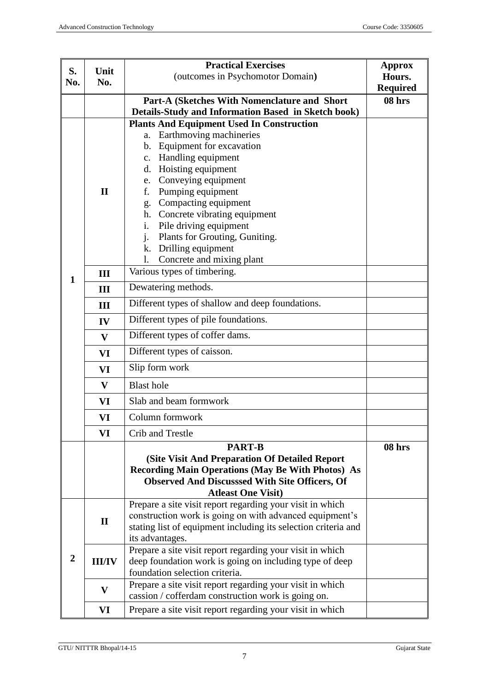| S.<br>Unit<br>No.<br>No. |               | <b>Practical Exercises</b>                                                                                        | Approx          |
|--------------------------|---------------|-------------------------------------------------------------------------------------------------------------------|-----------------|
|                          |               | (outcomes in Psychomotor Domain)                                                                                  | Hours.          |
|                          |               |                                                                                                                   | <b>Required</b> |
|                          |               | <b>Part-A (Sketches With Nomenclature and Short</b> )                                                             | 08 hrs          |
|                          |               | Details-Study and Information Based in Sketch book)<br><b>Plants And Equipment Used In Construction</b>           |                 |
|                          |               | Earthmoving machineries<br>a.                                                                                     |                 |
|                          |               | b. Equipment for excavation                                                                                       |                 |
|                          |               | c. Handling equipment                                                                                             |                 |
|                          |               | d. Hoisting equipment                                                                                             |                 |
|                          |               | e. Conveying equipment                                                                                            |                 |
|                          | $\mathbf{I}$  | f. Pumping equipment                                                                                              |                 |
|                          |               | g. Compacting equipment                                                                                           |                 |
|                          |               | h. Concrete vibrating equipment                                                                                   |                 |
|                          |               | i.<br>Pile driving equipment                                                                                      |                 |
|                          |               | j. Plants for Grouting, Guniting.                                                                                 |                 |
|                          |               | k. Drilling equipment                                                                                             |                 |
|                          |               | Concrete and mixing plant<br>1.<br>Various types of timbering.                                                    |                 |
| 1                        | III           |                                                                                                                   |                 |
|                          | III           | Dewatering methods.                                                                                               |                 |
|                          | III           | Different types of shallow and deep foundations.                                                                  |                 |
|                          | IV            | Different types of pile foundations.                                                                              |                 |
|                          | V             | Different types of coffer dams.                                                                                   |                 |
|                          | VI            | Different types of caisson.                                                                                       |                 |
|                          | VI            | Slip form work                                                                                                    |                 |
|                          | V             | <b>Blast hole</b>                                                                                                 |                 |
|                          | VI            | Slab and beam formwork                                                                                            |                 |
|                          | VI            | Column formwork                                                                                                   |                 |
|                          | VI            | Crib and Trestle                                                                                                  |                 |
|                          |               | <b>PART-B</b>                                                                                                     | 08 hrs          |
|                          |               | (Site Visit And Preparation Of Detailed Report)                                                                   |                 |
|                          |               | <b>Recording Main Operations (May Be With Photos) As</b><br><b>Observed And Discusssed With Site Officers, Of</b> |                 |
|                          |               | <b>Atleast One Visit)</b>                                                                                         |                 |
|                          |               | Prepare a site visit report regarding your visit in which                                                         |                 |
|                          | $\mathbf{I}$  | construction work is going on with advanced equipment's                                                           |                 |
|                          |               | stating list of equipment including its selection criteria and                                                    |                 |
|                          |               | its advantages.                                                                                                   |                 |
| $\boldsymbol{2}$         |               | Prepare a site visit report regarding your visit in which                                                         |                 |
|                          | <b>III/IV</b> | deep foundation work is going on including type of deep                                                           |                 |
|                          |               | foundation selection criteria.<br>Prepare a site visit report regarding your visit in which                       |                 |
|                          | $\mathbf{V}$  | cassion / cofferdam construction work is going on.                                                                |                 |
|                          | VI            | Prepare a site visit report regarding your visit in which                                                         |                 |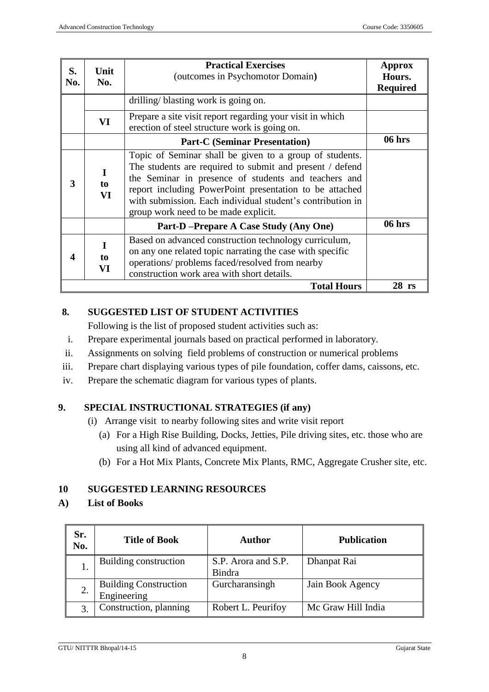| S.<br>No. | Unit<br>No.                                                                                                                                                                                                                          | <b>Practical Exercises</b><br>(outcomes in Psychomotor Domain)                                                                                                                                                                                                                                                                               |         |
|-----------|--------------------------------------------------------------------------------------------------------------------------------------------------------------------------------------------------------------------------------------|----------------------------------------------------------------------------------------------------------------------------------------------------------------------------------------------------------------------------------------------------------------------------------------------------------------------------------------------|---------|
|           | drilling/blasting work is going on.                                                                                                                                                                                                  |                                                                                                                                                                                                                                                                                                                                              |         |
|           | Prepare a site visit report regarding your visit in which<br>VI<br>erection of steel structure work is going on.                                                                                                                     |                                                                                                                                                                                                                                                                                                                                              |         |
|           |                                                                                                                                                                                                                                      | <b>Part-C (Seminar Presentation)</b>                                                                                                                                                                                                                                                                                                         | 06 hrs  |
| 3         | I<br>to<br>VI                                                                                                                                                                                                                        | Topic of Seminar shall be given to a group of students.<br>The students are required to submit and present / defend<br>the Seminar in presence of students and teachers and<br>report including PowerPoint presentation to be attached<br>with submission. Each individual student's contribution in<br>group work need to be made explicit. |         |
|           |                                                                                                                                                                                                                                      | Part-D-Prepare A Case Study (Any One)                                                                                                                                                                                                                                                                                                        | 06 hrs  |
| 4         | Based on advanced construction technology curriculum,<br>I<br>on any one related topic narrating the case with specific<br>to<br>operations/ problems faced/resolved from nearby<br>VI<br>construction work area with short details. |                                                                                                                                                                                                                                                                                                                                              |         |
|           |                                                                                                                                                                                                                                      | <b>Total Hours</b>                                                                                                                                                                                                                                                                                                                           | $28$ rs |

## **8. SUGGESTED LIST OF STUDENT ACTIVITIES**

Following is the list of proposed student activities such as:

- i. Prepare experimental journals based on practical performed in laboratory.
- ii. Assignments on solving field problems of construction or numerical problems
- iii. Prepare chart displaying various types of pile foundation, coffer dams, caissons, etc.
- iv. Prepare the schematic diagram for various types of plants.

## **9. SPECIAL INSTRUCTIONAL STRATEGIES (if any)**

- (i) Arrange visit to nearby following sites and write visit report
	- (a) For a High Rise Building, Docks, Jetties, Pile driving sites, etc. those who are using all kind of advanced equipment.
	- (b) For a Hot Mix Plants, Concrete Mix Plants, RMC, Aggregate Crusher site, etc.

## **10 SUGGESTED LEARNING RESOURCES**

#### **A) List of Books**

| Sr.<br><b>Title of Book</b><br>No. |                                             | Author                        | <b>Publication</b> |  |
|------------------------------------|---------------------------------------------|-------------------------------|--------------------|--|
|                                    | Building construction                       | S.P. Arora and S.P.<br>Bindra | Dhanpat Rai        |  |
|                                    | <b>Building Construction</b><br>Engineering | Gurcharansingh                | Jain Book Agency   |  |
|                                    | Construction, planning                      | Robert L. Peurifoy            | Mc Graw Hill India |  |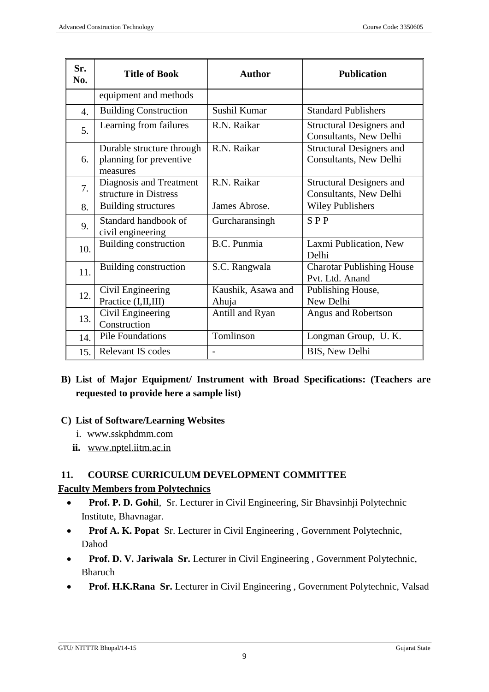| Sr.<br>No.       | <b>Title of Book</b>                                             | <b>Author</b>               | <b>Publication</b>                                        |
|------------------|------------------------------------------------------------------|-----------------------------|-----------------------------------------------------------|
|                  | equipment and methods                                            |                             |                                                           |
| $\overline{4}$ . | <b>Building Construction</b>                                     | Sushil Kumar                | <b>Standard Publishers</b>                                |
| 5.               | Learning from failures                                           | R.N. Raikar                 | <b>Structural Designers and</b><br>Consultants, New Delhi |
| 6.               | Durable structure through<br>planning for preventive<br>measures | R.N. Raikar                 | <b>Structural Designers and</b><br>Consultants, New Delhi |
| 7.               | Diagnosis and Treatment<br>structure in Distress                 | R.N. Raikar                 | <b>Structural Designers and</b><br>Consultants, New Delhi |
| 8.               | <b>Building structures</b>                                       | James Abrose.               | <b>Wiley Publishers</b>                                   |
| 9.               | Standard handbook of<br>civil engineering                        | Gurcharansingh              | $S$ P P                                                   |
| 10.              | Building construction                                            | B.C. Punmia                 | Laxmi Publication, New<br>Delhi                           |
| 11.              | Building construction                                            | S.C. Rangwala               | <b>Charotar Publishing House</b><br>Pvt. Ltd. Anand       |
| 12.              | Civil Engineering<br>Practice (I,II,III)                         | Kaushik, Asawa and<br>Ahuja | Publishing House,<br>New Delhi                            |
| 13.              | Civil Engineering<br>Construction                                | Antill and Ryan             | Angus and Robertson                                       |
| 14.              | <b>Pile Foundations</b>                                          | Tomlinson                   | Longman Group, U.K.                                       |
| 15.              | Relevant IS codes                                                |                             | BIS, New Delhi                                            |

**B) List of Major Equipment/ Instrument with Broad Specifications: (Teachers are requested to provide here a sample list)**

#### **C) List of Software/Learning Websites**

- i. www.sskphdmm.com
- **ii.** [www.nptel.iitm.ac.in](http://www.nptel.iitm.ac.in/)

## **11. COURSE CURRICULUM DEVELOPMENT COMMITTEE**

#### **Faculty Members from Polytechnics**

- **Prof. P. D. Gohil**, Sr. Lecturer in Civil Engineering, Sir Bhavsinhii Polytechnic Institute, Bhavnagar.
- **Prof A. K. Popat** Sr. Lecturer in Civil Engineering , Government Polytechnic, Dahod
- **Prof. D. V. Jariwala Sr.** Lecturer in Civil Engineering, Government Polytechnic, Bharuch
- **Prof. H.K.Rana Sr.** Lecturer in Civil Engineering, Government Polytechnic, Valsad